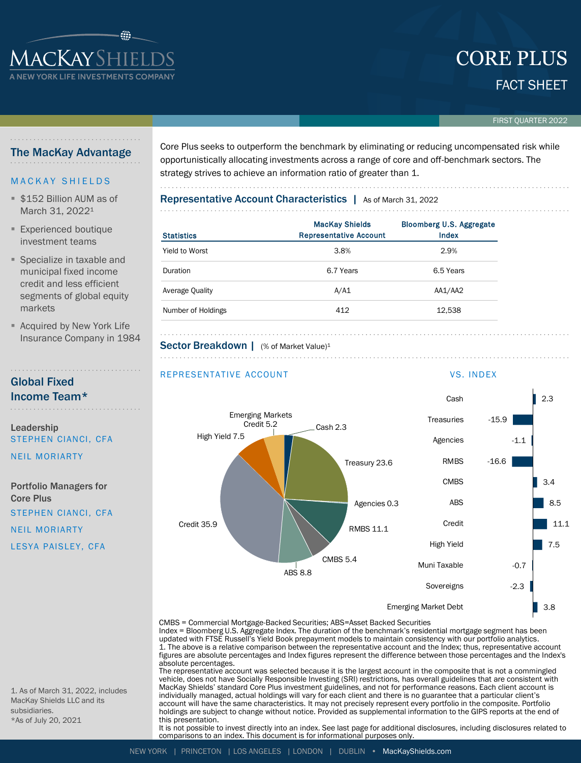# FACT SHEET CORE PLUS

### FIRST QUARTER 2022

### The MacKay Advantage

**ACKAYSHIEI** YORK LIFE INVESTMENTS COI

### **MACKAY SHIELDS**

- **\$152 Billion AUM as of** March 31, 2022<sup>1</sup>
- **Experienced boutique** investment teams
- Specialize in taxable and municipal fixed income credit and less efficient segments of global equity markets
- **E** Acquired by New York Life Insurance Company in 1984

## Global Fixed Income Team\*

### Leadership STEPHEN CIANCI, CFA

NEIL MORIARTY

Portfolio Managers for Core Plus STEPHEN CIANCI, CFA

NEIL MORIARTY

LESYA PAISLEY, CFA

1. As of March 31, 2022, includes MacKay Shields LLC and its subsidiaries. \*As of July 20, 2021

Core Plus seeks to outperform the benchmark by eliminating or reducing uncompensated risk while opportunistically allocating investments across a range of core and off-benchmark sectors. The strategy strives to achieve an information ratio of greater than 1.

## Representative Account Characteristics | As of March 31, 2022

| <b>Statistics</b>  | <b>MacKay Shields</b><br><b>Representative Account</b> | <b>Bloomberg U.S. Aggregate</b><br>Index |
|--------------------|--------------------------------------------------------|------------------------------------------|
| Yield to Worst     | 3.8%                                                   | 2.9%                                     |
| Duration           | 6.7 Years                                              | 6.5 Years                                |
| Average Quality    | A/A1                                                   | AA1/AA2                                  |
| Number of Holdings | 412                                                    | 12,538                                   |

## Sector Breakdown | (% of Market Value)<sup>1</sup>

### REPRESENTATIVE ACCOUNT VS. INDEX

. . . . . . . . . . . . . . . . . . . .



CMBS = Commercial Mortgage-Backed Securities; ABS=Asset Backed Securities Index = Bloomberg U.S. Aggregate Index. The duration of the benchmark's residential mortgage segment has been

updated with FTSE Russell's Yield Book prepayment models to maintain consistency with our portfolio analytics.<br>1. The above is a relative comparison between the representative account and the Index; thus, representative ac figures are absolute percentages and Index figures represent the difference between those percentages and the Index's absolute percentages.

The representative account was selected because it is the largest account in the composite that is not a commingled vehicle, does not have Socially Responsible Investing (SRI) restrictions, has overall guidelines that are consistent with MacKay Shields' standard Core Plus investment guidelines, and not for performance reasons. Each client account is individually managed, actual holdings will vary for each client and there is no guarantee that a particular client's account will have the same characteristics. It may not precisely represent every portfolio in the composite. Portfolio holdings are subject to change without notice. Provided as supplemental information to the GIPS reports at the end of this presentation.

It is not possible to invest directly into an index. See last page for additional disclosures, including disclosures related to comparisons to an index. This document is for informational purposes only.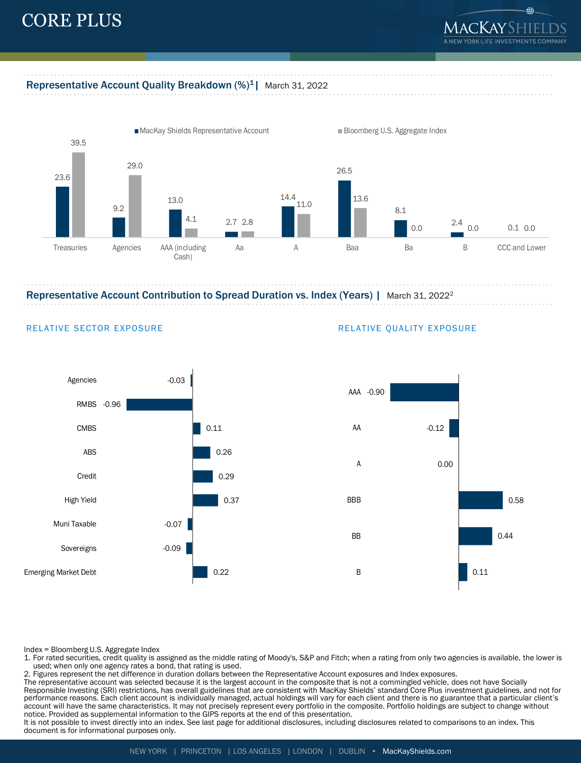# CORE PLUS



### Representative Account Quality Breakdown (%)<sup>1</sup> | March 31, 2022



Representative Account Contribution to Spread Duration vs. Index (Years) | March 31, 2022<sup>2</sup>



### RELATIVE SECTOR EXPOSURE **RELATIVE QUALITY EXPOSURE**



Index = Bloomberg U.S. Aggregate Index

1. For rated securities, credit quality is assigned as the middle rating of Moody's, S&P and Fitch; when a rating from only two agencies is available, the lower is used; when only one agency rates a bond, that rating is used.

2. Figures represent the net difference in duration dollars between the Representative Account exposures and Index exposures.

The representative account was selected because it is the largest account in the composite that is not a commingled vehicle, does not have Socially Responsible Investing (SRI) restrictions, has overall guidelines that are consistent with MacKay Shields' standard Core Plus investment guidelines, and not for performance reasons. Each client account is individually managed, actual holdings will vary for each client and there is no guarantee that a particular client's account will have the same characteristics. It may not precisely represent every portfolio in the composite. Portfolio holdings are subject to change without notice. Provided as supplemental information to the GIPS reports at the end of this presentation.

It is not possible to invest directly into an index. See last page for additional disclosures, including disclosures related to comparisons to an index. This document is for informational purposes only.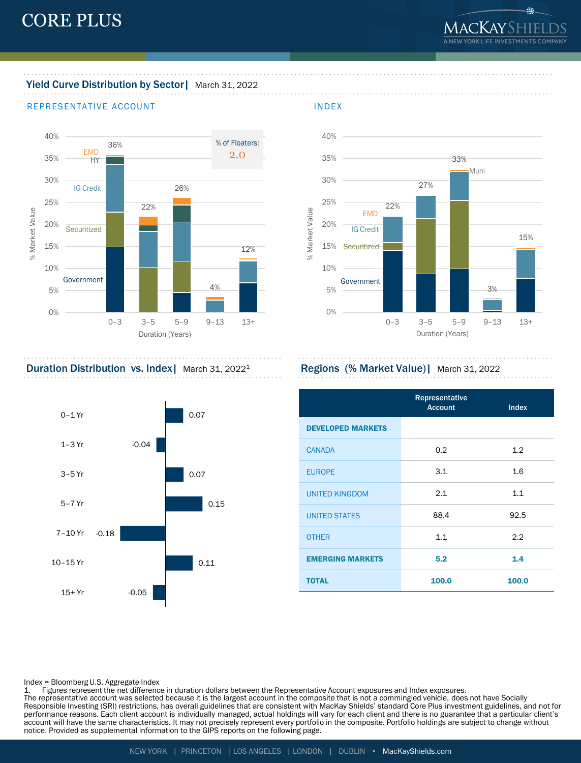⊕.

# Yield Curve Distribution by Sector | March 31, 2022

### REPRESENTATIVE ACCOUNT **INDEX**





Duration Distribution vs. Index | March 31, 2022<sup>1</sup> Regions (% Market Value) | March 31, 2022



|                          | Representative<br><b>Account</b> | <b>Index</b> |
|--------------------------|----------------------------------|--------------|
| <b>DEVELOPED MARKETS</b> |                                  |              |
| <b>CANADA</b>            | 0.2                              | 1.2          |
| <b>EUROPE</b>            | 3.1                              | 1.6          |
| <b>UNITED KINGDOM</b>    | 2.1                              | 1.1          |
| <b>UNITED STATES</b>     | 88.4                             | 92.5         |
| <b>OTHER</b>             | 1.1                              | 2.2          |
| <b>EMERGING MARKETS</b>  | 5.2                              | 1.4          |
| <b>TOTAL</b>             | 100.0                            | 100.0        |

Index = Bloomberg U.S. Aggregate Index

1. Figures represent the net difference in duration dollars between the Representative Account exposures and Index exposures. The representative account was selected because it is the largest account in the composite that is not a commingled vehicle, does not have Socially Responsible Investing (SRI) restrictions, has overall guidelines that are consistent with MacKay Shields' standard Core Plus investment guidelines, and not for performance reasons. Each client account is individually managed, actual holdings will vary for each client and there is no guarantee that a particular client's account will have the same characteristics. It may not precisely represent every portfolio in the composite. Portfolio holdings are subject to change without notice. Provided as supplemental information to the GIPS reports on the following page.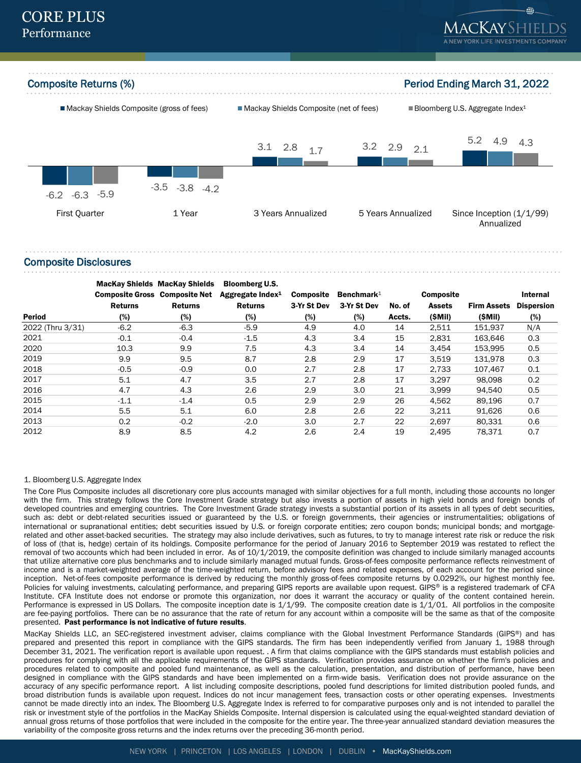

### Composite Disclosures

|                  | <b>MacKay Shields MacKay Shields</b><br><b>Composite Gross Composite Net</b> |                | <b>Bloomberg U.S.</b><br>Aggregate Index <sup>1</sup> | <b>Composite</b> | Benchmark $1$ |        | <b>Composite</b> |                    | Internal          |
|------------------|------------------------------------------------------------------------------|----------------|-------------------------------------------------------|------------------|---------------|--------|------------------|--------------------|-------------------|
|                  | <b>Returns</b>                                                               | <b>Returns</b> | <b>Returns</b>                                        | 3-Yr St Dev      | 3-Yr St Dev   | No. of | <b>Assets</b>    | <b>Firm Assets</b> | <b>Dispersion</b> |
| <b>Period</b>    | (%)                                                                          | (%)            | (%)                                                   | (%)              | (%)           | Accts. | (SMil)           | (SMil)             | (%)               |
| 2022 (Thru 3/31) | $-6.2$                                                                       | $-6.3$         | $-5.9$                                                | 4.9              | 4.0           | 14     | 2,511            | 151,937            | N/A               |
| 2021             | $-0.1$                                                                       | $-0.4$         | $-1.5$                                                | 4.3              | 3.4           | 15     | 2,831            | 163.646            | 0.3               |
| 2020             | 10.3                                                                         | 9.9            | 7.5                                                   | 4.3              | 3.4           | 14     | 3.454            | 153.995            | 0.5               |
| 2019             | 9.9                                                                          | 9.5            | 8.7                                                   | 2.8              | 2.9           | 17     | 3,519            | 131.978            | 0.3               |
| 2018             | $-0.5$                                                                       | $-0.9$         | 0.0                                                   | 2.7              | 2.8           | 17     | 2,733            | 107,467            | 0.1               |
| 2017             | 5.1                                                                          | 4.7            | 3.5                                                   | 2.7              | 2.8           | 17     | 3.297            | 98.098             | 0.2               |
| 2016             | 4.7                                                                          | 4.3            | 2.6                                                   | 2.9              | 3.0           | 21     | 3.999            | 94.540             | 0.5               |
| 2015             | $-1.1$                                                                       | $-1.4$         | 0.5                                                   | 2.9              | 2.9           | 26     | 4,562            | 89,196             | 0.7               |
| 2014             | 5.5                                                                          | 5.1            | 6.0                                                   | 2.8              | 2.6           | 22     | 3.211            | 91.626             | 0.6               |
| 2013             | 0.2                                                                          | $-0.2$         | $-2.0$                                                | 3.0              | 2.7           | 22     | 2,697            | 80,331             | 0.6               |
| 2012             | 8.9                                                                          | 8.5            | 4.2                                                   | 2.6              | 2.4           | 19     | 2.495            | 78,371             | 0.7               |

### 1. Bloomberg U.S. Aggregate Index

The Core Plus Composite includes all discretionary core plus accounts managed with similar objectives for a full month, including those accounts no longer with the firm. This strategy follows the Core Investment Grade strategy but also invests a portion of assets in high yield bonds and foreign bonds of developed countries and emerging countries. The Core Investment Grade strategy invests a substantial portion of its assets in all types of debt securities, such as: debt or debt-related securities issued or guaranteed by the U.S. or foreign governments, their agencies or instrumentalities; obligations of international or supranational entities; debt securities issued by U.S. or foreign corporate entities; zero coupon bonds; municipal bonds; and mortgagerelated and other asset-backed securities. The strategy may also include derivatives, such as futures, to try to manage interest rate risk or reduce the risk of loss of (that is, hedge) certain of its holdings. Composite performance for the period of January 2016 to September 2019 was restated to reflect the removal of two accounts which had been included in error. As of 10/1/2019, the composite definition was changed to include similarly managed accounts that utilize alternative core plus benchmarks and to include similarly managed mutual funds. Gross-of-fees composite performance reflects reinvestment of income and is a market-weighted average of the time-weighted return, before advisory fees and related expenses, of each account for the period since inception. Net-of-fees composite performance is derived by reducing the monthly gross-of-fees composite returns by 0.0292%, our highest monthly fee. Policies for valuing investments, calculating performance, and preparing GIPS reports are available upon request. GIPS® is a registered trademark of CFA Institute. CFA Institute does not endorse or promote this organization, nor does it warrant the accuracy or quality of the content contained herein. Performance is expressed in US Dollars. The composite inception date is 1/1/99. The composite creation date is 1/1/01. All portfolios in the composite are fee-paying portfolios. There can be no assurance that the rate of return for any account within a composite will be the same as that of the composite presented. Past performance is not indicative of future results.

MacKay Shields LLC, an SEC-registered investment adviser, claims compliance with the Global Investment Performance Standards (GIPS®) and has prepared and presented this report in compliance with the GIPS standards. The firm has been independently verified from January 1, 1988 through December 31, 2021. The verification report is available upon request. . A firm that claims compliance with the GIPS standards must establish policies and procedures for complying with all the applicable requirements of the GIPS standards. Verification provides assurance on whether the firm's policies and procedures related to composite and pooled fund maintenance, as well as the calculation, presentation, and distribution of performance, have been designed in compliance with the GIPS standards and have been implemented on a firm-wide basis. Verification does not provide assurance on the accuracy of any specific performance report. A list including composite descriptions, pooled fund descriptions for limited distribution pooled funds, and broad distribution funds is available upon request. Indices do not incur management fees, transaction costs or other operating expenses. Investments cannot be made directly into an index. The Bloomberg U.S. Aggregate Index is referred to for comparative purposes only and is not intended to parallel the risk or investment style of the portfolios in the MacKay Shields Composite. Internal dispersion is calculated using the equal-weighted standard deviation of annual gross returns of those portfolios that were included in the composite for the entire year. The three-year annualized standard deviation measures the variability of the composite gross returns and the index returns over the preceding 36-month period.